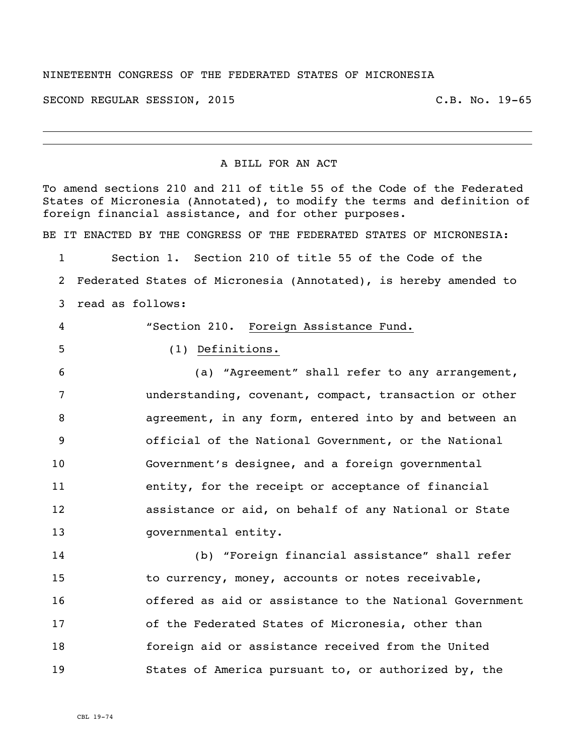## NINETEENTH CONGRESS OF THE FEDERATED STATES OF MICRONESIA

SECOND REGULAR SESSION, 2015 C.B. No. 19-65

## A BILL FOR AN ACT

To amend sections 210 and 211 of title 55 of the Code of the Federated States of Micronesia (Annotated), to modify the terms and definition of foreign financial assistance, and for other purposes. BE IT ENACTED BY THE CONGRESS OF THE FEDERATED STATES OF MICRONESIA: Section 1. Section 210 of title 55 of the Code of the Federated States of Micronesia (Annotated), is hereby amended to read as follows: "Section 210. Foreign Assistance Fund. (1) Definitions. (a) "Agreement" shall refer to any arrangement, understanding, covenant, compact, transaction or other agreement, in any form, entered into by and between an official of the National Government, or the National Government's designee, and a foreign governmental entity, for the receipt or acceptance of financial assistance or aid, on behalf of any National or State 13 governmental entity. (b) "Foreign financial assistance" shall refer 15 to currency, money, accounts or notes receivable, offered as aid or assistance to the National Government of the Federated States of Micronesia, other than

States of America pursuant to, or authorized by, the

foreign aid or assistance received from the United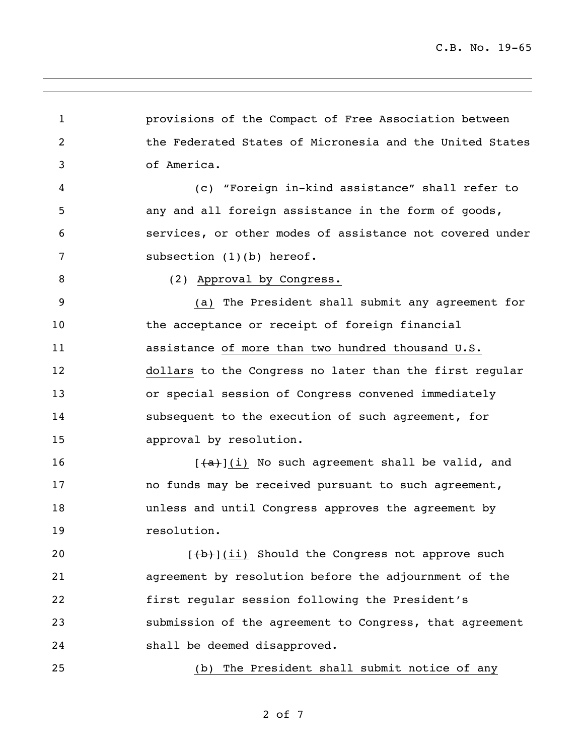provisions of the Compact of Free Association between the Federated States of Micronesia and the United States of America. (c) "Foreign in-kind assistance" shall refer to any and all foreign assistance in the form of goods, services, or other modes of assistance not covered under 7 subsection (1)(b) hereof. (2) Approval by Congress. (a) The President shall submit any agreement for 10 the acceptance or receipt of foreign financial assistance of more than two hundred thousand U.S. dollars to the Congress no later than the first regular or special session of Congress convened immediately subsequent to the execution of such agreement, for approval by resolution.  $[+a+](i)$  No such agreement shall be valid, and **no funds may be received pursuant to such agreement,**  unless and until Congress approves the agreement by resolution.  $[\frac{1}{1}]\$ [ii) Should the Congress not approve such agreement by resolution before the adjournment of the first regular session following the President's submission of the agreement to Congress, that agreement shall be deemed disapproved. (b) The President shall submit notice of any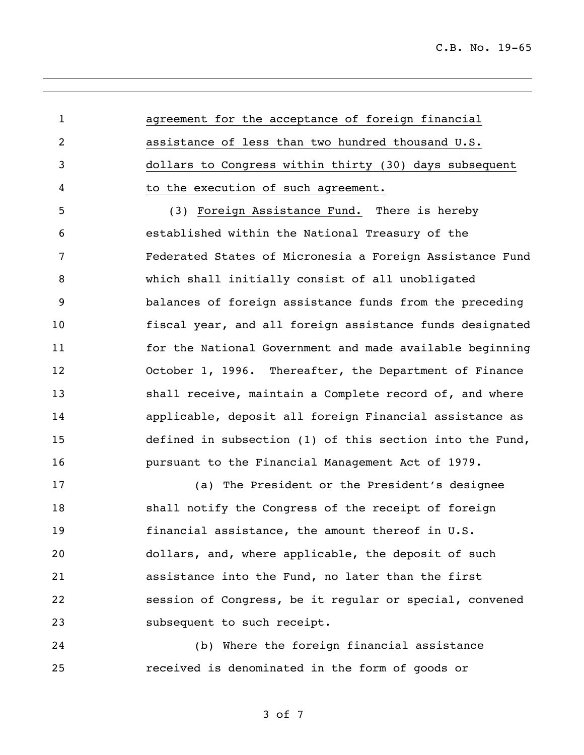agreement for the acceptance of foreign financial assistance of less than two hundred thousand U.S. dollars to Congress within thirty (30) days subsequent to the execution of such agreement. (3) Foreign Assistance Fund. There is hereby established within the National Treasury of the Federated States of Micronesia a Foreign Assistance Fund which shall initially consist of all unobligated

 balances of foreign assistance funds from the preceding fiscal year, and all foreign assistance funds designated for the National Government and made available beginning October 1, 1996. Thereafter, the Department of Finance 13 shall receive, maintain a Complete record of, and where applicable, deposit all foreign Financial assistance as defined in subsection (1) of this section into the Fund, pursuant to the Financial Management Act of 1979.

 (a) The President or the President's designee shall notify the Congress of the receipt of foreign financial assistance, the amount thereof in U.S. dollars, and, where applicable, the deposit of such assistance into the Fund, no later than the first session of Congress, be it regular or special, convened subsequent to such receipt.

 (b) Where the foreign financial assistance received is denominated in the form of goods or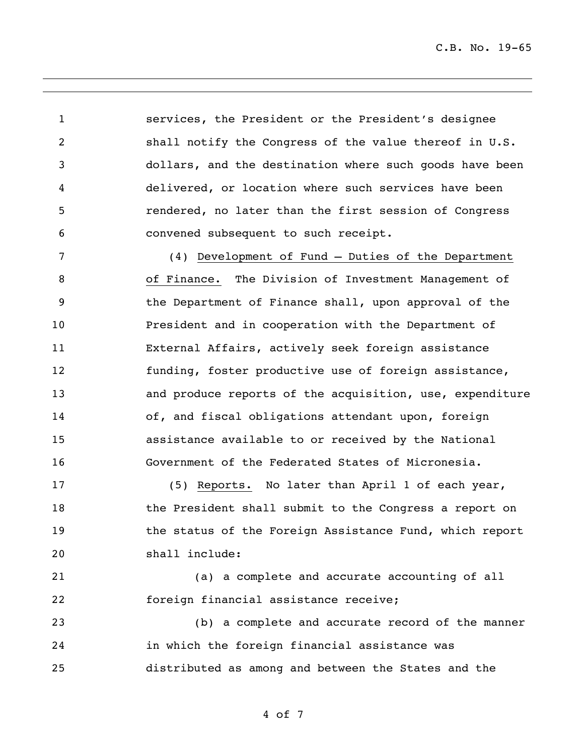C.B. No. 19-65

 services, the President or the President's designee shall notify the Congress of the value thereof in U.S. dollars, and the destination where such goods have been delivered, or location where such services have been rendered, no later than the first session of Congress convened subsequent to such receipt.

 (4) Development of Fund – Duties of the Department of Finance. The Division of Investment Management of the Department of Finance shall, upon approval of the President and in cooperation with the Department of External Affairs, actively seek foreign assistance funding, foster productive use of foreign assistance, and produce reports of the acquisition, use, expenditure 14 of, and fiscal obligations attendant upon, foreign assistance available to or received by the National Government of the Federated States of Micronesia.

 (5) Reports. No later than April 1 of each year, 18 the President shall submit to the Congress a report on **the status of the Foreign Assistance Fund, which report** shall include:

 (a) a complete and accurate accounting of all foreign financial assistance receive;

 (b) a complete and accurate record of the manner in which the foreign financial assistance was distributed as among and between the States and the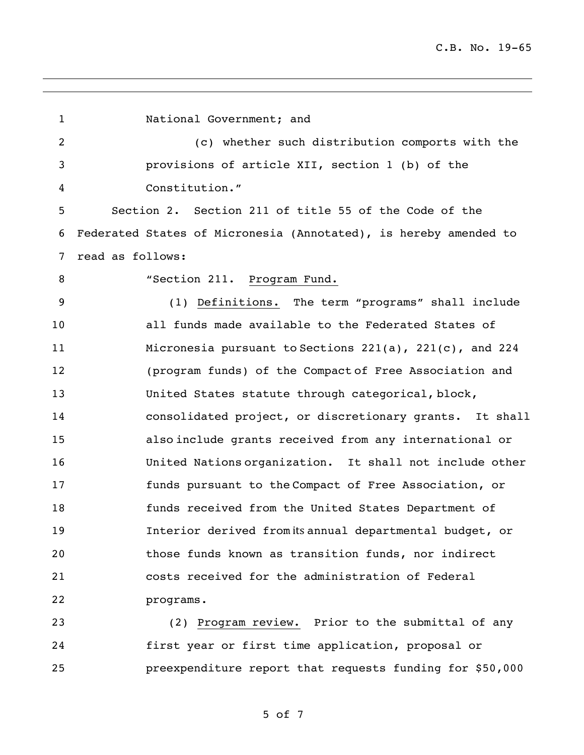National Government; and (c) whether such distribution comports with the provisions of article XII, section 1 (b) of the Constitution." Section 2. Section 211 of title 55 of the Code of the Federated States of Micronesia (Annotated), is hereby amended to read as follows: 8 "Section 211. Program Fund. (1) Definitions. The term "programs" shall include all funds made available to the Federated States of Micronesia pursuant to Sections 221(a), 221(c), and 224 (program funds) of the Compact of Free Association and United States statute through categorical, block, consolidated project, or discretionary grants. It shall also include grants received from any international or United Nations organization. It shall not include other funds pursuant to the Compact of Free Association, or funds received from the United States Department of 19 19 Interior derived from its annual departmental budget, or those funds known as transition funds, nor indirect costs received for the administration of Federal programs.

 (2) Program review. Prior to the submittal of any first year or first time application, proposal or preexpenditure report that requests funding for \$50,000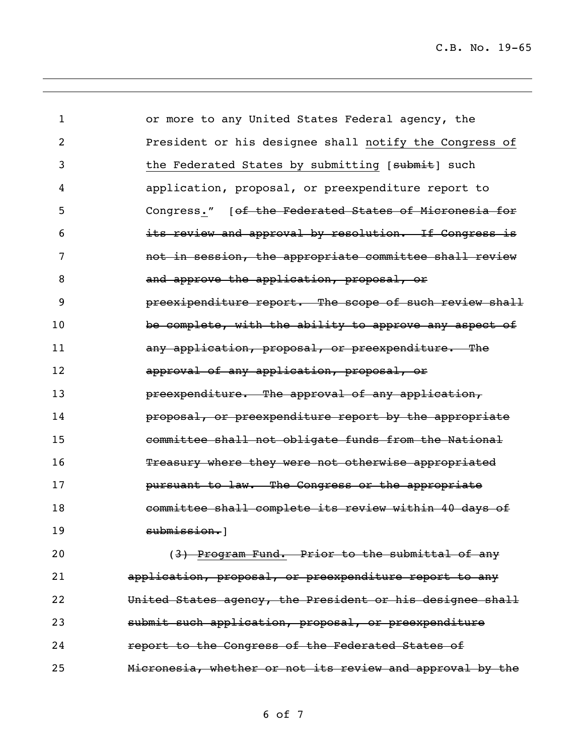| $\mathbf{1}$   | or more to any United States Federal agency, the          |
|----------------|-----------------------------------------------------------|
| $\overline{c}$ | President or his designee shall notify the Congress of    |
| 3              | the Federated States by submitting [submit] such          |
| 4              | application, proposal, or preexpenditure report to        |
| 5              | Congress." [ of the Federated States of Micronesia for    |
| 6              | its review and approval by resolution. If Congress is     |
| 7              | not in session, the appropriate committee shall review    |
| 8              | and approve the application, proposal, or                 |
| 9              | preexipenditure report. The scope of such review shall    |
| 10             | be complete, with the ability to approve any aspect of    |
| 11             | any application, proposal, or preexpenditure. The         |
| 12             | approval of any application, proposal, or                 |
| 13             | preexpenditure. The approval of any application,          |
| 14             | proposal, or preexpenditure report by the appropriate     |
| 15             | committee shall not obligate funds from the National      |
| 16             | Treasury where they were not otherwise appropriated       |
| 17             | pursuant to law. The Congress or the appropriate          |
| 18             | committee shall complete its review within 40 days of     |
| 19             | submission.1                                              |
| 20             | (3) Program Fund. Prior to the submittal of any           |
| 21             | application, proposal, or preexpenditure report to any    |
| 22             | United States agency, the President or his designee shall |
| 23             | submit such application, proposal, or preexpenditure      |
| 24             | report to the Congress of the Federated States of         |

Micronesia, whether or not its review and approval by the